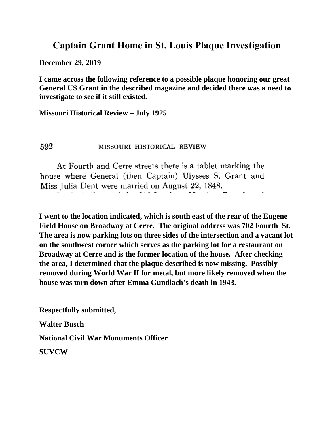## **Captain Grant Home in St. Louis Plaque Investigation**

**December 29, 2019**

**I came across the following reference to a possible plaque honoring our great General US Grant in the described magazine and decided there was a need to investigate to see if it still existed.**

**Missouri Historical Review – July 1925**

## 592 MISSOURI HISTORICAL REVIEW

At Fourth and Cerre streets there is a tablet marking the house where General (then Captain) Ulysses S. Grant and Miss Julia Dent were married on August 22, 1848.

**I went to the location indicated, which is south east of the rear of the Eugene Field House on Broadway at Cerre. The original address was 702 Fourth St. The area is now parking lots on three sides of the intersection and a vacant lot on the southwest corner which serves as the parking lot for a restaurant on Broadway at Cerre and is the former location of the house. After checking the area, I determined that the plaque described is now missing. Possibly removed during World War II for metal, but more likely removed when the house was torn down after Emma Gundlach's death in 1943.**

**Respectfully submitted, Walter Busch**

**National Civil War Monuments Officer**

**SUVCW**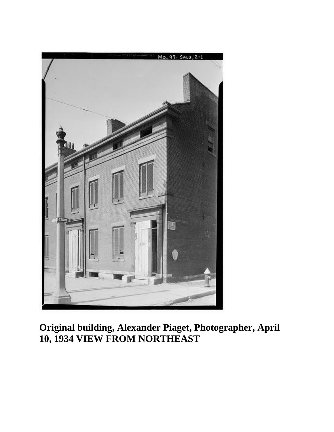

**Original building, Alexander Piaget, Photographer, April 10, 1934 VIEW FROM NORTHEAST**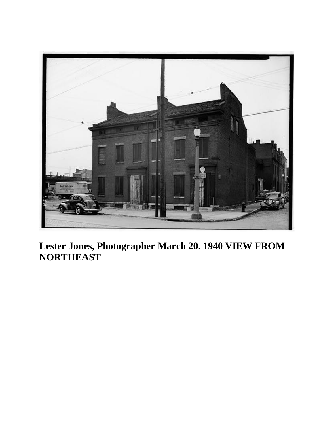

**Lester Jones, Photographer March 20. 1940 VIEW FROM NORTHEAST**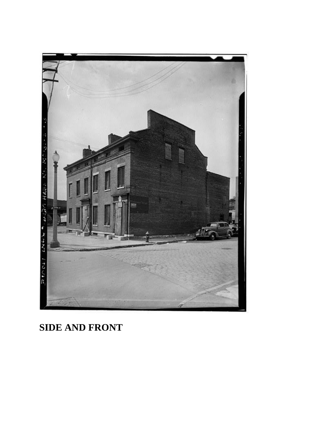

## **SIDE AND FRONT**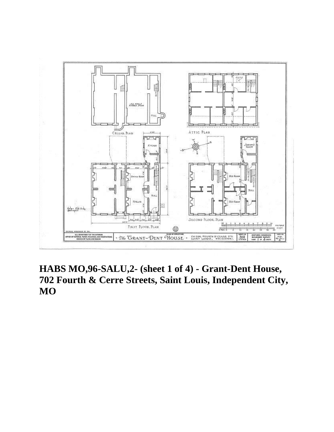

**HABS MO,96-SALU,2- (sheet 1 of 4) - Grant-Dent House, 702 Fourth & Cerre Streets, Saint Louis, Independent City, MO**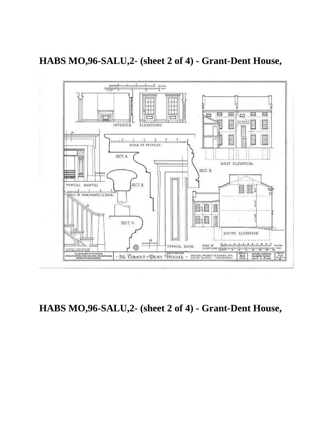

**HABS MO,96-SALU,2- (sheet 2 of 4) - Grant-Dent House,**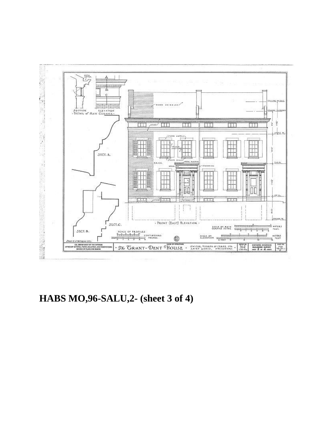

**HABS MO,96-SALU,2- (sheet 3 of 4)**